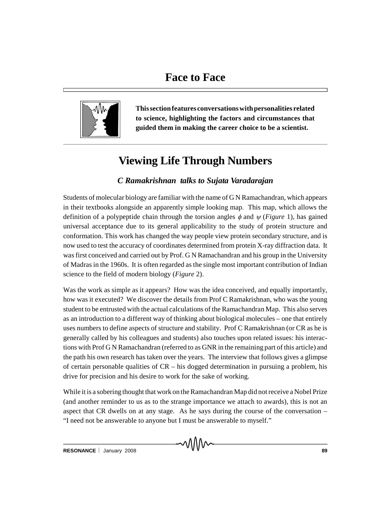

**Thissection featuresconversations withpersonalities related to science, highlighting the factors and circumstances that guided them in making the career choice to be a scientist.**

# **Viewing Life Through Numbers**

## *C Ramakrishnan talks to Sujata Varadarajan*

Students of molecular biology are familiar with the name of G N Ramachandran, which appears in their textbooks alongside an apparently simple looking map. This map, which allows the definition of a polypeptide chain through the torsion angles  $\phi$  and  $\psi$  (*Figure* 1), has gained universal acceptance due to its general applicability to the study of protein structure and conformation. This work has changed the way people view protein secondary structure, and is now used to test the accuracy of coordinates determined from protein X-ray diffraction data. It was first conceived and carried out by Prof. G N Ramachandran and his group in the University of Madras in the 1960s. It is often regarded as the single most important contribution of Indian science to the field of modern biology (*Figure* 2).

Was the work as simple as it appears? How was the idea conceived, and equally importantly, how was it executed? We discover the details from Prof C Ramakrishnan, who was the young student to be entrusted with the actual calculations of the Ramachandran Map. This also serves as an introduction to a different way of thinking about biological molecules – one that entirely uses numbers to define aspects of structure and stability. Prof C Ramakrishnan (or CR as he is generally called by his colleagues and students) also touches upon related issues: his interactions with Prof G N Ramachandran (referred to as GNR in the remaining part of this article) and the path his own research has taken over the years. The interview that follows gives a glimpse of certain personable qualities of CR – his dogged determination in pursuing a problem, his drive for precision and his desire to work for the sake of working.

While it is a sobering thought that work on the Ramachandran Map did not receive a Nobel Prize (and another reminder to us as to the strange importance we attach to awards), this is not an aspect that CR dwells on at any stage. As he says during the course of the conversation – "I need not be answerable to anyone but I must be answerable to myself."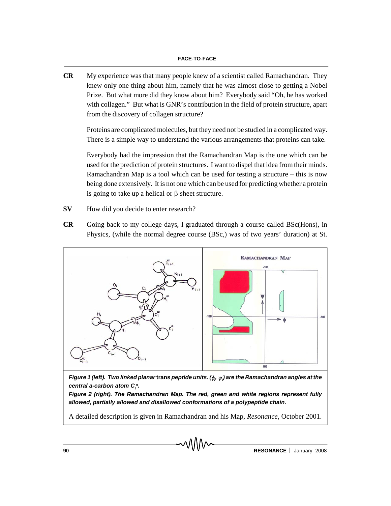**CR** My experience was that many people knew of a scientist called Ramachandran. They knew only one thing about him, namely that he was almost close to getting a Nobel Prize. But what more did they know about him? Everybody said "Oh, he has worked with collagen." But what is GNR's contribution in the field of protein structure, apart from the discovery of collagen structure?

Proteins are complicated molecules, but they need not be studied in a complicated way. There is a simple way to understand the various arrangements that proteins can take.

Everybody had the impression that the Ramachandran Map is the one which can be used for the prediction of protein structures. I want to dispel that idea from their minds. Ramachandran Map is a tool which can be used for testing a structure – this is now being done extensively. It is not one which can be used for predicting whether a protein is going to take up a helical or  $\beta$  sheet structure.

- **SV** How did you decide to enter research?
- **CR** Going back to my college days, I graduated through a course called BSc(Hons), in Physics, (while the normal degree course (BSc,) was of two years' duration) at St.



*Figure 1 (left). Two linked planar***trans** *peptide units. (<sup>i</sup> , <sup>i</sup> ) are the Ramachandran angles at the central a-carbon atom C<sup>i</sup> .*

*Figure 2 (right). The Ramachandran Map. The red, green and white regions represent fully allowed, partially allowed and disallowed conformations of a polypeptide chain.*

A detailed description is given in Ramachandran and his Map, *Resonance*, October 2001.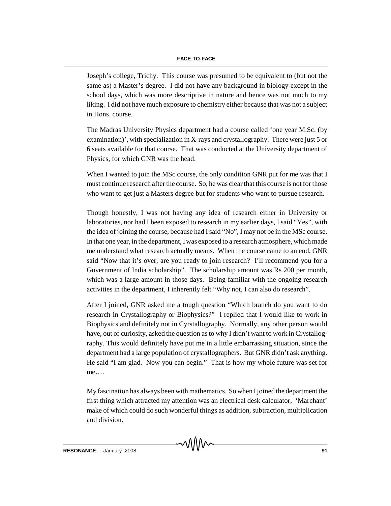Joseph's college, Trichy. This course was presumed to be equivalent to (but not the same as) a Master's degree. I did not have any background in biology except in the school days, which was more descriptive in nature and hence was not much to my liking. I did not have much exposure to chemistry either because that was not a subject in Hons. course.

The Madras University Physics department had a course called 'one year M.Sc. (by examination)', with specialization in X-rays and crystallography. There were just 5 or 6 seats available for that course. That was conducted at the University department of Physics, for which GNR was the head.

When I wanted to join the MSc course, the only condition GNR put for me was that I must continue research after the course. So, he was clear that this course is not for those who want to get just a Masters degree but for students who want to pursue research.

Though honestly, I was not having any idea of research either in University or laboratories, nor had I been exposed to research in my earlier days, I said "Yes", with the idea of joining the course, because had I said "No", I may not be in the MSc course. In that one year, in the department, Iwas exposed to a research atmosphere, which made me understand what research actually means. When the course came to an end, GNR said "Now that it's over, are you ready to join research? I'll recommend you for a Government of India scholarship". The scholarship amount was Rs 200 per month, which was a large amount in those days. Being familiar with the ongoing research activities in the department, I inherently felt "Why not, I can also do research".

After I joined, GNR asked me a tough question "Which branch do you want to do research in Crystallography or Biophysics?" I replied that I would like to work in Biophysics and definitely not in Cyrstallography. Normally, any other person would have, out of curiosity, asked the question as to why I didn't want to work in Crystallography. This would definitely have put me in a little embarrassing situation, since the department had a large population of crystallographers. But GNR didn't ask anything. He said "I am glad. Now you can begin." That is how my whole future was set for me….

My fascination has always been with mathematics. So when I joined the department the first thing which attracted my attention was an electrical desk calculator, 'Marchant' make of which could do such wonderful things as addition, subtraction, multiplication and division.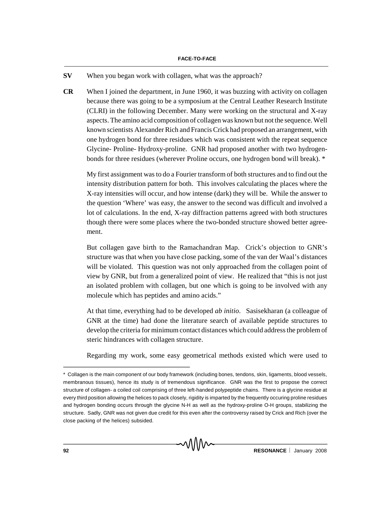- **SV** When you began work with collagen, what was the approach?
- **CR** When I joined the department, in June 1960, it was buzzing with activity on collagen because there was going to be a symposium at the Central Leather Research Institute (CLRI) in the following December. Many were working on the structural and X-ray aspects. The amino acid composition of collagen was known but not the sequence. Well known scientists Alexander Rich and Francis Crick had proposed an arrangement, with one hydrogen bond for three residues which was consistent with the repeat sequence Glycine- Proline- Hydroxy-proline. GNR had proposed another with two hydrogenbonds for three residues (wherever Proline occurs, one hydrogen bond will break). \*

My first assignment was to do a Fourier transform of both structures and to find out the intensity distribution pattern for both. This involves calculating the places where the X-ray intensities will occur, and how intense (dark) they will be. While the answer to the question 'Where' was easy, the answer to the second was difficult and involved a lot of calculations. In the end, X-ray diffraction patterns agreed with both structures though there were some places where the two-bonded structure showed better agreement.

But collagen gave birth to the Ramachandran Map. Crick's objection to GNR's structure was that when you have close packing, some of the van der Waal's distances will be violated. This question was not only approached from the collagen point of view by GNR, but from a generalized point of view. He realized that "this is not just an isolated problem with collagen, but one which is going to be involved with any molecule which has peptides and amino acids."

At that time, everything had to be developed *ab initio*. Sasisekharan (a colleague of GNR at the time) had done the literature search of available peptide structures to develop the criteria for minimum contact distances which could address the problem of steric hindrances with collagen structure.

Regarding my work, some easy geometrical methods existed which were used to

<sup>\*</sup> Collagen is the main component of our body framework (including bones, tendons, skin, ligaments, blood vessels, membranous tissues), hence its study is of tremendous significance. GNR was the first to propose the correct structure of collagen- a coiled coil comprising of three left-handed polypeptide chains. There is a glycine residue at every third position allowing the helices to pack closely, rigidity is imparted by the frequently occuring proline residues and hydrogen bonding occurs through the glycine N-H as well as the hydroxy-proline O-H groups, stabilizing the structure. Sadly, GNR was not given due credit for this even after the controversy raised by Crick and Rich (over the close packing of the helices) subsided.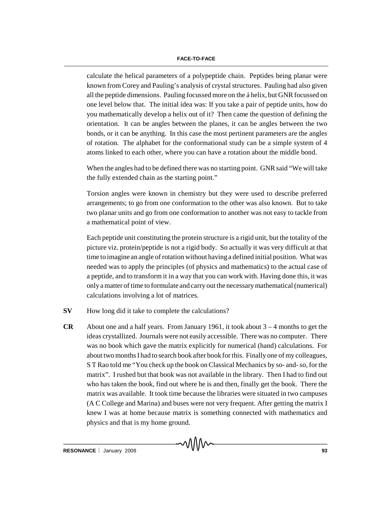calculate the helical parameters of a polypeptide chain. Peptides being planar were known from Corey and Pauling's analysis of crystal structures. Pauling had also given all the peptide dimensions. Pauling focussed more on the á helix, but GNR focussed on one level below that. The initial idea was: If you take a pair of peptide units, how do you mathematically develop a helix out of it? Then came the question of defining the orientation. It can be angles between the planes, it can be angles between the two bonds, or it can be anything. In this case the most pertinent parameters are the angles of rotation. The alphabet for the conformational study can be a simple system of 4 atoms linked to each other, where you can have a rotation about the middle bond.

When the angles had to be defined there was no starting point. GNR said "We will take the fully extended chain as the starting point."

Torsion angles were known in chemistry but they were used to describe preferred arrangements; to go from one conformation to the other was also known. But to take two planar units and go from one conformation to another was not easy to tackle from a mathematical point of view.

Each peptide unit constituting the protein structure is a rigid unit, but the totality of the picture viz. protein/peptide is not a rigid body. So actually it was very difficult at that time to imagine an angle of rotation without having a defined initial position. What was needed was to apply the principles (of physics and mathematics) to the actual case of a peptide, and to transform it in a way that you can work with. Having done this, it was only a matter of time to formulate and carry out the necessary mathematical (numerical) calculations involving a lot of matrices.

- **SV** How long did it take to complete the calculations?
- **CR** About one and a half years. From January 1961, it took about 3 4 months to get the ideas crystallized. Journals were not easily accessible. There was no computer. There was no book which gave the matrix explicitly for numerical (hand) calculations. For about two months I had to search book after book for this. Finally one of my colleagues, S T Rao told me "You check up the book on Classical Mechanics by so- and- so, for the matrix". I rushed but that book was not available in the library. Then I had to find out who has taken the book, find out where he is and then, finally get the book. There the matrix was available. It took time because the libraries were situated in two campuses (A C College and Marina) and buses were not very frequent. After getting the matrix I knew I was at home because matrix is something connected with mathematics and physics and that is my home ground.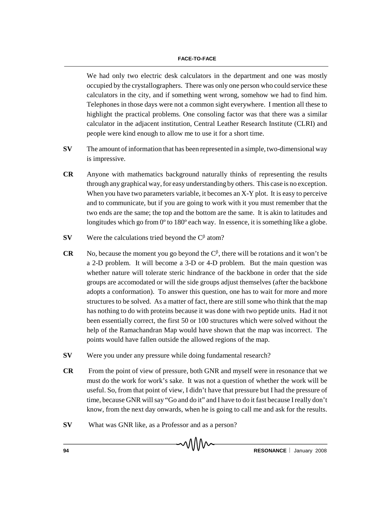We had only two electric desk calculators in the department and one was mostly occupied by the crystallographers. There was only one person who could service these calculators in the city, and if something went wrong, somehow we had to find him. Telephones in those days were not a common sight everywhere. I mention all these to highlight the practical problems. One consoling factor was that there was a similar calculator in the adjacent institution, Central Leather Research Institute (CLRI) and people were kind enough to allow me to use it for a short time.

- **SV** The amount of information that has been represented in a simple, two-dimensional way is impressive.
- **CR** Anyone with mathematics background naturally thinks of representing the results through any graphical way, for easy understanding by others. This case is no exception. When you have two parameters variable, it becomes an X-Y plot. It is easy to perceive and to communicate, but if you are going to work with it you must remember that the two ends are the same; the top and the bottom are the same. It is akin to latitudes and longitudes which go from  $0^{\circ}$  to  $180^{\circ}$  each way. In essence, it is something like a globe.
- **SV** Were the calculations tried beyond the  $C^{\beta}$  atom?
- **CR** No, because the moment you go beyond the  $C^{\beta}$ , there will be rotations and it won't be a 2-D problem. It will become a 3-D or 4-D problem. But the main question was whether nature will tolerate steric hindrance of the backbone in order that the side groups are accomodated or will the side groups adjust themselves (after the backbone adopts a conformation). To answer this question, one has to wait for more and more structures to be solved. As a matter of fact, there are still some who think that the map has nothing to do with proteins because it was done with two peptide units. Had it not been essentially correct, the first 50 or 100 structures which were solved without the help of the Ramachandran Map would have shown that the map was incorrect. The points would have fallen outside the allowed regions of the map.
- **SV** Were you under any pressure while doing fundamental research?
- **CR** From the point of view of pressure, both GNR and myself were in resonance that we must do the work for work's sake. It was not a question of whether the work will be useful. So, from that point of view, I didn't have that pressure but I had the pressure of time, because GNR will say "Go and do it" and I have to do it fast because I really don't know, from the next day onwards, when he is going to call me and ask for the results.

**SV** What was GNR like, as a Professor and as a person?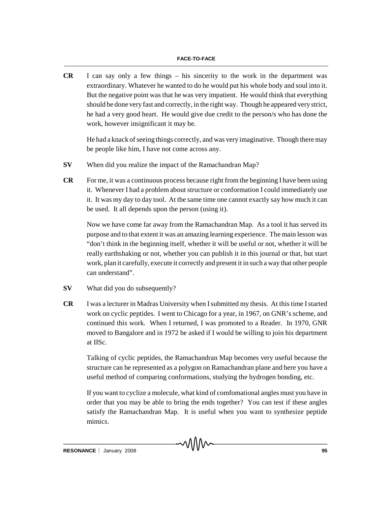**CR** I can say only a few things – his sincerity to the work in the department was extraordinary. Whatever he wanted to do he would put his whole body and soul into it. But the negative point was that he was very impatient. He would think that everything should be done very fast and correctly, in the right way. Though he appeared very strict, he had a very good heart. He would give due credit to the person/s who has done the work, however insignificant it may be.

He had a knack of seeing things correctly, and was very imaginative. Though there may be people like him, I have not come across any.

- **SV** When did you realize the impact of the Ramachandran Map?
- **CR** For me, it was a continuous process because right from the beginning I have been using it. Whenever I had a problem about structure or conformation I could immediately use it. It was my day to day tool. At the same time one cannot exactly say how much it can be used. It all depends upon the person (using it).

Now we have come far away from the Ramachandran Map. As a tool it has served its purpose and to that extent it was an amazing learning experience. The main lesson was "don't think in the beginning itself, whether it will be useful or not, whether it will be really earthshaking or not, whether you can publish it in this journal or that, but start work, plan it carefully, execute it correctly and present it in such a way that other people can understand".

- **SV** What did you do subsequently?
- **CR** I was a lecturer in Madras University when I submitted my thesis. At this time I started work on cyclic peptides. I went to Chicago for a year, in 1967, on GNR's scheme, and continued this work. When I returned, I was promoted to a Reader. In 1970, GNR moved to Bangalore and in 1972 he asked if I would be willing to join his department at IISc.

Talking of cyclic peptides, the Ramachandran Map becomes very useful because the structure can be represented as a polygon on Ramachandran plane and here you have a useful method of comparing conformations, studying the hydrogen bonding, etc.

If you want to cyclize a molecule, what kind of comfomational angles must you have in order that you may be able to bring the ends together? You can test if these angles satisfy the Ramachandran Map. It is useful when you want to synthesize peptide mimics.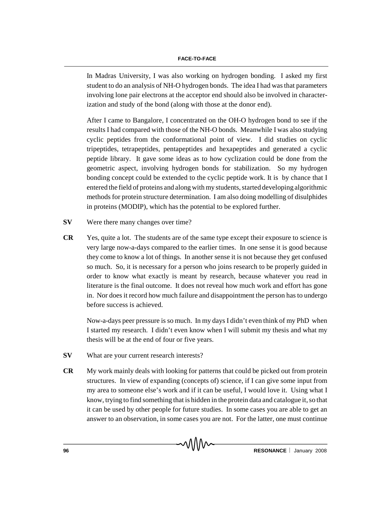In Madras University, I was also working on hydrogen bonding. I asked my first student to do an analysis of NH-O hydrogen bonds. The idea I had was that parameters involving lone pair electrons at the acceptor end should also be involved in characterization and study of the bond (along with those at the donor end).

After I came to Bangalore, I concentrated on the OH-O hydrogen bond to see if the results I had compared with those of the NH-O bonds. Meanwhile I was also studying cyclic peptides from the conformational point of view. I did studies on cyclic tripeptides, tetrapeptides, pentapeptides and hexapeptides and generated a cyclic peptide library. It gave some ideas as to how cyclization could be done from the geometric aspect, involving hydrogen bonds for stabilization. So my hydrogen bonding concept could be extended to the cyclic peptide work. It is by chance that I entered the field of proteins and along with my students, started developing algorithmic methods for protein structure determination. I am also doing modelling of disulphides in proteins (MODIP), which has the potential to be explored further.

- **SV** Were there many changes over time?
- **CR** Yes, quite a lot. The students are of the same type except their exposure to science is very large now-a-days compared to the earlier times. In one sense it is good because they come to know a lot of things. In another sense it is not because they get confused so much. So, it is necessary for a person who joins research to be properly guided in order to know what exactly is meant by research, because whatever you read in literature is the final outcome. It does not reveal how much work and effort has gone in. Nor does it record how much failure and disappointment the person has to undergo before success is achieved.

Now-a-days peer pressure is so much. In my days I didn't even think of my PhD when I started my research. I didn't even know when I will submit my thesis and what my thesis will be at the end of four or five years.

- **SV** What are your current research interests?
- **CR** My work mainly deals with looking for patterns that could be picked out from protein structures. In view of expanding (concepts of) science, if I can give some input from my area to someone else's work and if it can be useful, I would love it. Using what I know, trying to find something that is hidden in the protein data and catalogue it, so that it can be used by other people for future studies. In some cases you are able to get an answer to an observation, in some cases you are not. For the latter, one must continue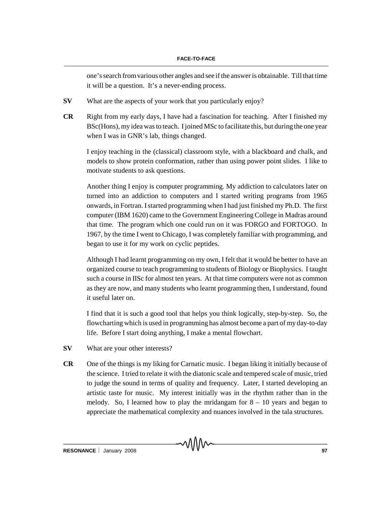one's search fromvarious other angles and see if the answer is obtainable. Till that time it will be a question. It's a never-ending process.

- **SV** What are the aspects of your work that you particularly enjoy?
- **CR** Right from my early days, I have had a fascination for teaching. After I finished my BSc(Hons), my idea was to teach. I joined MSc to facilitate this, but during the one year when I was in GNR's lab, things changed.

I enjoy teaching in the (classical) classroom style, with a blackboard and chalk, and models to show protein conformation, rather than using power point slides. I like to motivate students to ask questions.

Another thing I enjoy is computer programming. My addiction to calculators later on turned into an addiction to computers and I started writing programs from 1965 onwards, in Fortran. I started programming when I had just finished my Ph.D. The first computer (IBM 1620) came to the Government Engineering College in Madras around that time. The program which one could run on it was FORGO and FORTOGO. In 1967, by the time I went to Chicago, I was completely familiar with programming, and began to use it for my work on cyclic peptides.

Although I had learnt programming on my own, I felt that it would be better to have an organized course to teach programming to students of Biology or Biophysics. I taught such a course in IISc for almost ten years. At that time computers were not as common as they are now, and many students who learnt programming then, I understand, found it useful later on.

I find that it is such a good tool that helps you think logically, step-by-step. So, the flowcharting which is used in programming has almost become a part of my day-to-day life. Before I start doing anything, I make a mental flowchart.

- **SV** What are your other interests?
- **CR** One of the things is my liking for Carnatic music. I began liking it initially because of the science. I tried to relate it with the diatonic scale and tempered scale of music, tried to judge the sound in terms of quality and frequency. Later, I started developing an artistic taste for music. My interest initially was in the rhythm rather than in the melody. So, I learned how to play the mridangam for  $8 - 10$  years and began to appreciate the mathematical complexity and nuances involved in the tala structures.